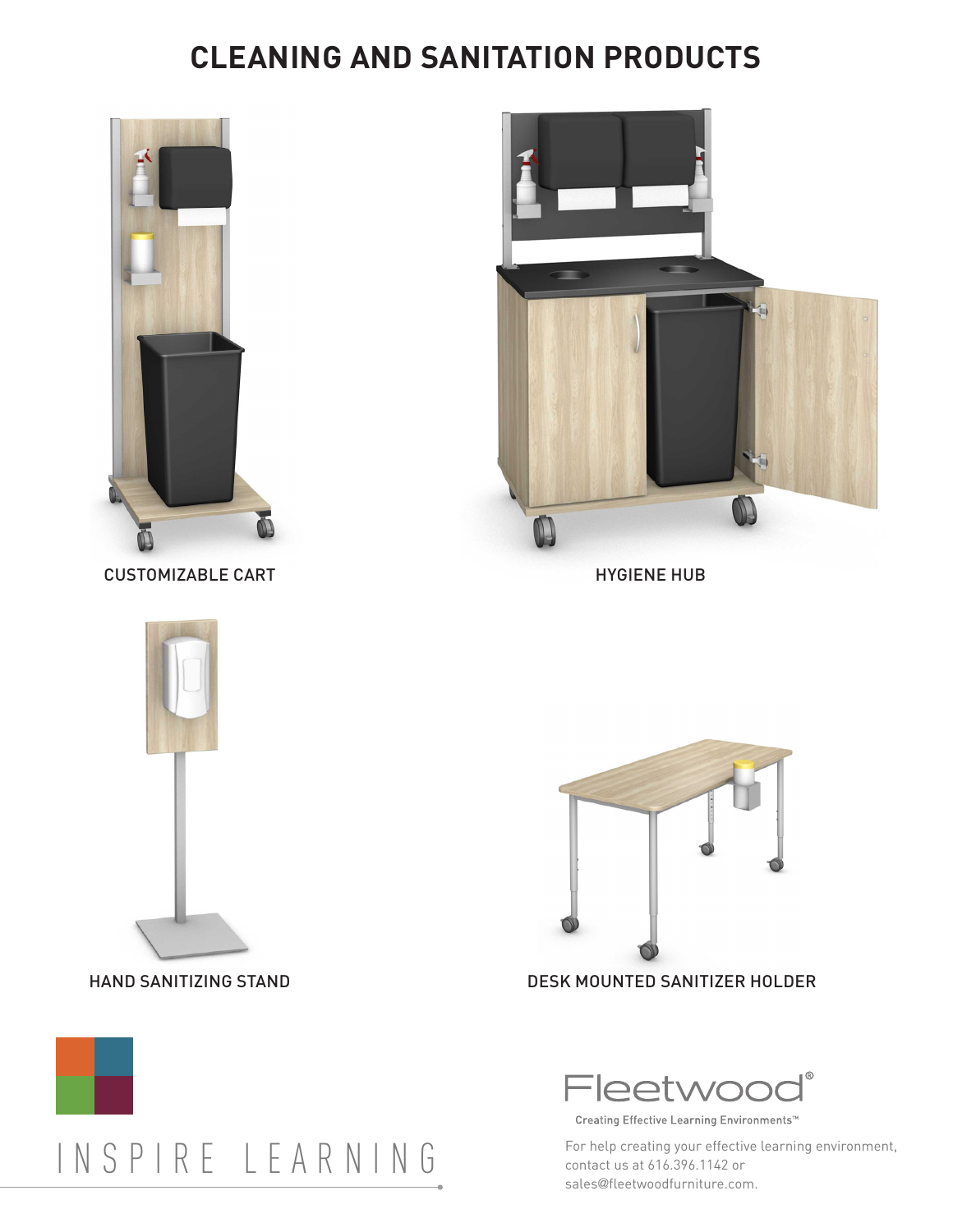## **CLEANING AND SANITATION PRODUCTS**



CUSTOMIZABLE CART





HYGIENE HUB



HAND SANITIZING STAND DESK MOUNTED SANITIZER HOLDER





Creating Effective Learning Environments™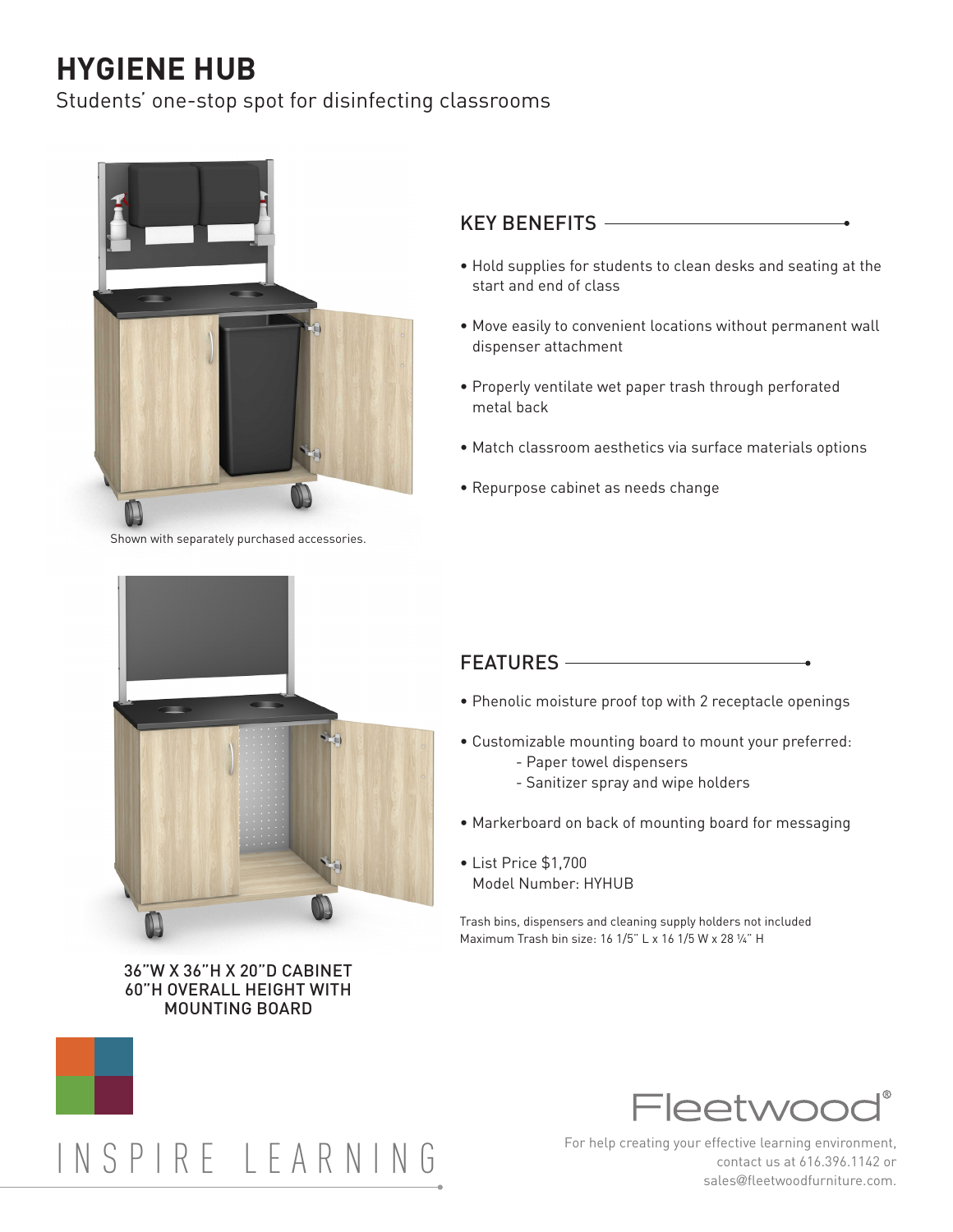# **HYGIENE HUB**

Students' one-stop spot for disinfecting classrooms



Shown with separately purchased accessories.

#### KEY BENEFITS

- Hold supplies for students to clean desks and seating at the start and end of class
- Move easily to convenient locations without permanent wall dispenser attachment
- Properly ventilate wet paper trash through perforated metal back
- Match classroom aesthetics via surface materials options
- Repurpose cabinet as needs change



36"W X 36"H X 20"D CABINET 60"H OVERALL HEIGHT WITH MOUNTING BOARD

#### FEATURES ————

- Phenolic moisture proof top with 2 receptacle openings
- Customizable mounting board to mount your preferred:
	- Paper towel dispensers
	- Sanitizer spray and wipe holders
- Markerboard on back of mounting board for messaging
- List Price \$1,700 Model Number: HYHUB

Trash bins, dispensers and cleaning supply holders not included Maximum Trash bin size: 16 1/5" L x 16 1/5 W x 28 ¼" H



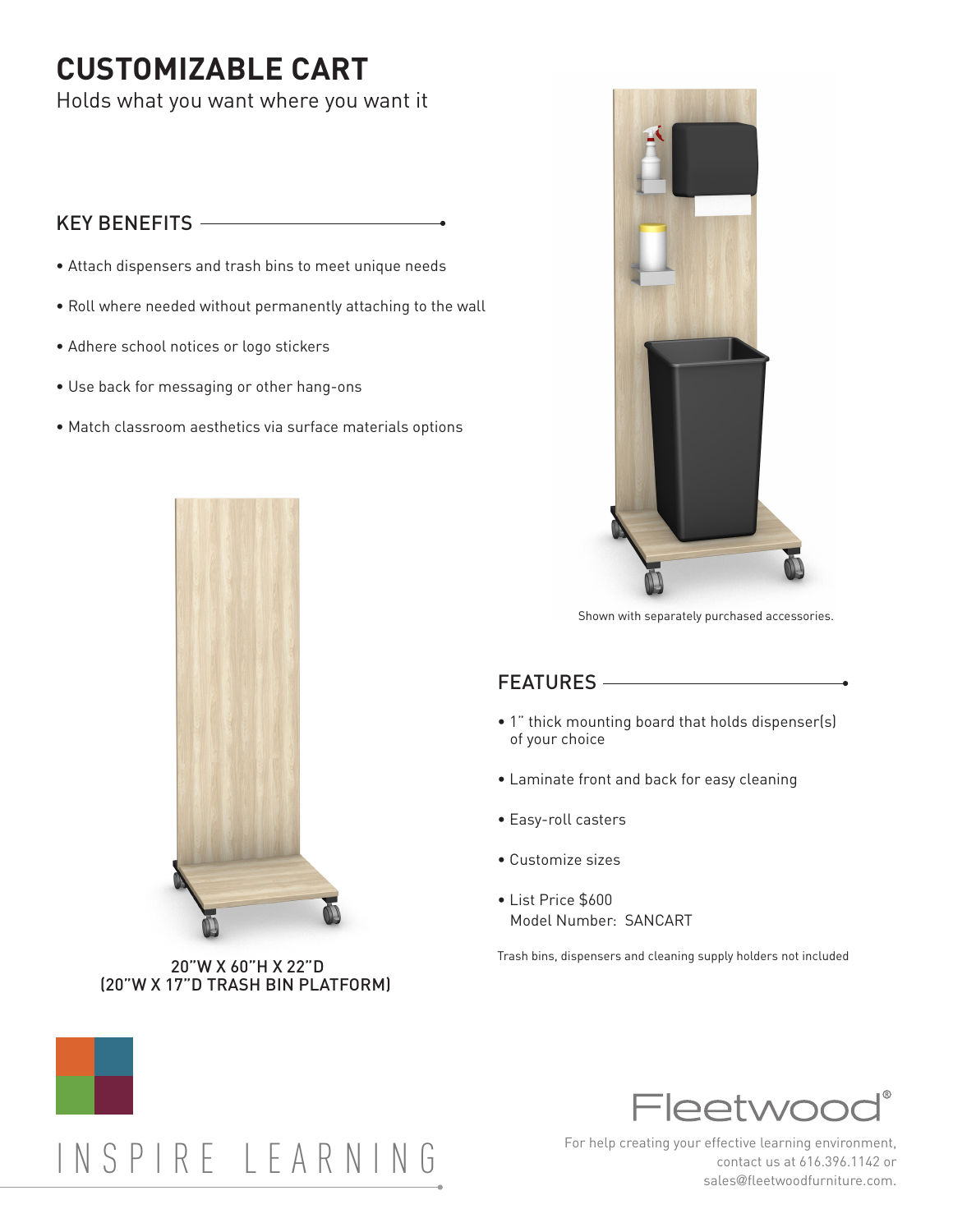## **CUSTOMIZABLE CART**

Holds what you want where you want it

## KEY BENEFITS

- Attach dispensers and trash bins to meet unique needs
- Roll where needed without permanently attaching to the wall
- Adhere school notices or logo stickers
- Use back for messaging or other hang-ons
- Match classroom aesthetics via surface materials options



(20"W X 17"D TRASH BIN PLATFORM)



Shown with separately purchased accessories.

## FEATURES

- 1" thick mounting board that holds dispenser(s) of your choice
- Laminate front and back for easy cleaning
- Easy-roll casters
- Customize sizes
- List Price \$600 Model Number: SANCART

Trash bins, dispensers and cleaning supply holders not included 20"W X 60"H X 22"D



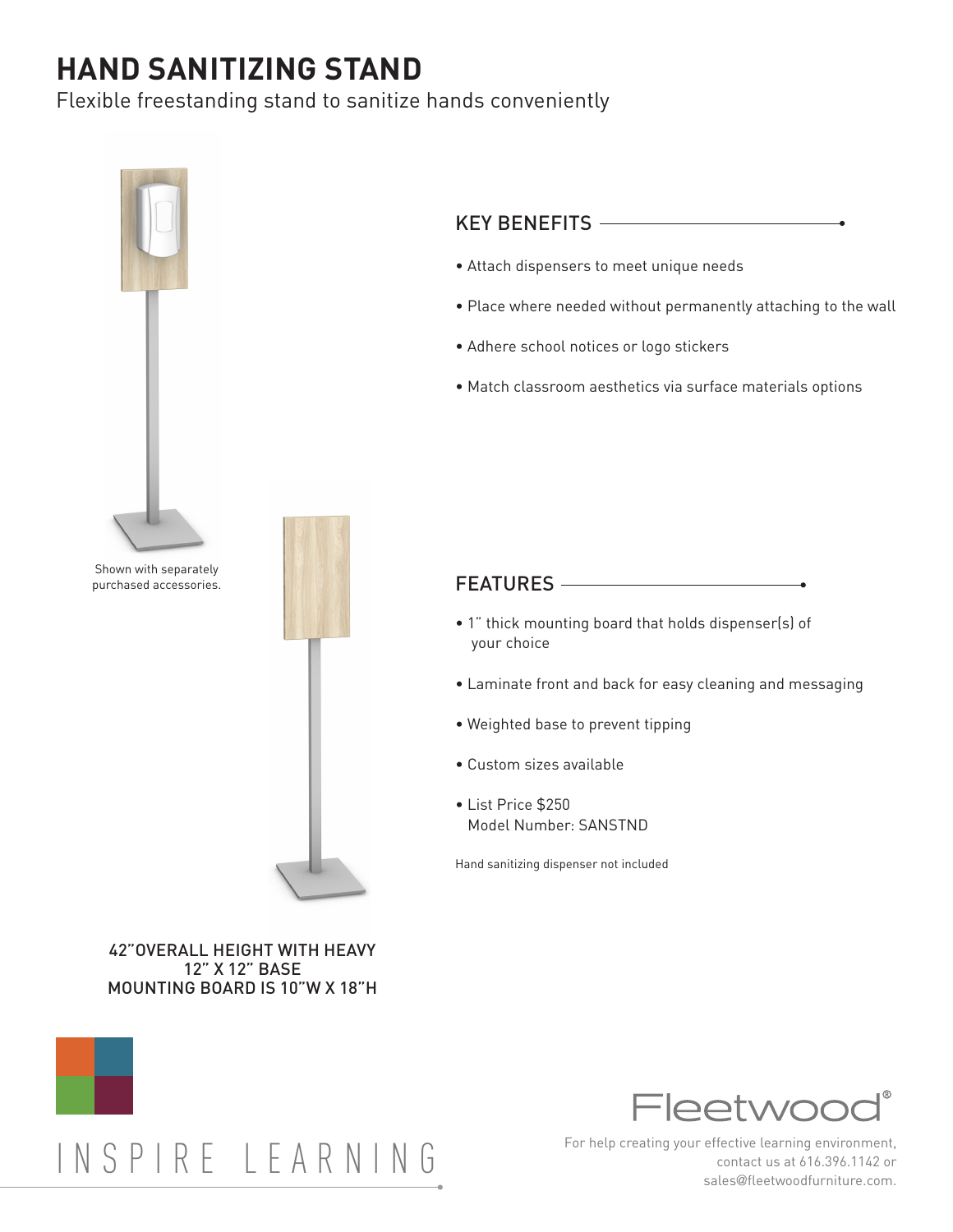## **HAND SANITIZING STAND**

Flexible freestanding stand to sanitize hands conveniently



### KEY BENEFITS

- Attach dispensers to meet unique needs
- Place where needed without permanently attaching to the wall
- Adhere school notices or logo stickers
- Match classroom aesthetics via surface materials options

#### FEATURES

- 1" thick mounting board that holds dispenser(s) of your choice
- Laminate front and back for easy cleaning and messaging
- Weighted base to prevent tipping
- Custom sizes available
- List Price \$250 Model Number: SANSTND

Hand sanitizing dispenser not included

#### 42"OVERALL HEIGHT WITH HEAVY 12" X 12" BASE MOUNTING BOARD IS 10"W X 18"H

# INSPIRE LEARNING